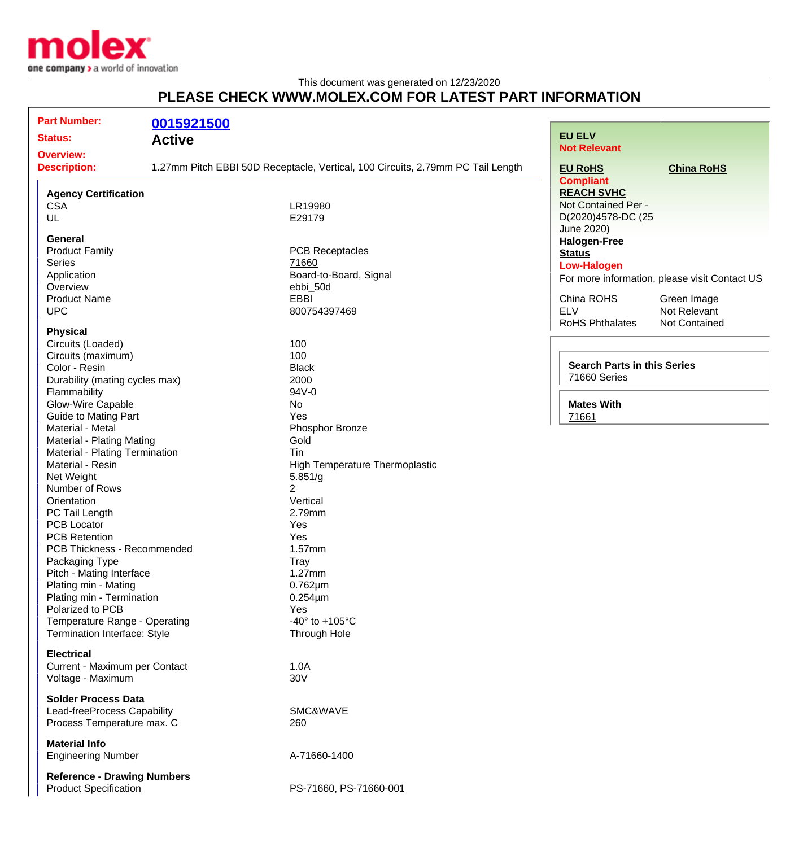

## This document was generated on 12/23/2020 **PLEASE CHECK WWW.MOLEX.COM FOR LATEST PART INFORMATION**

| <b>Part Number:</b>                | 0015921500 |                                                                                 |                                    |                                               |
|------------------------------------|------------|---------------------------------------------------------------------------------|------------------------------------|-----------------------------------------------|
| <b>Status:</b><br><b>Active</b>    |            |                                                                                 | <b>EU ELV</b>                      |                                               |
| <b>Overview:</b>                   |            |                                                                                 | <b>Not Relevant</b>                |                                               |
| <b>Description:</b>                |            | 1.27mm Pitch EBBI 50D Receptacle, Vertical, 100 Circuits, 2.79mm PC Tail Length | <b>EU RoHS</b>                     | <b>China RoHS</b>                             |
|                                    |            |                                                                                 | <b>Compliant</b>                   |                                               |
| <b>Agency Certification</b>        |            |                                                                                 | <b>REACH SVHC</b>                  |                                               |
| <b>CSA</b>                         |            | LR19980                                                                         | Not Contained Per -                |                                               |
| UL                                 |            | E29179                                                                          | D(2020)4578-DC (25                 |                                               |
|                                    |            |                                                                                 | June 2020)                         |                                               |
| <b>General</b>                     |            |                                                                                 | <b>Halogen-Free</b>                |                                               |
| <b>Product Family</b>              |            | <b>PCB Receptacles</b>                                                          | <b>Status</b>                      |                                               |
| <b>Series</b>                      |            | 71660                                                                           | <b>Low-Halogen</b>                 |                                               |
| Application                        |            | Board-to-Board, Signal                                                          |                                    | For more information, please visit Contact US |
| Overview                           |            | ebbi_50d                                                                        |                                    |                                               |
| <b>Product Name</b>                |            | <b>EBBI</b>                                                                     | China ROHS                         | Green Image                                   |
| <b>UPC</b>                         |            | 800754397469                                                                    | <b>ELV</b>                         | Not Relevant                                  |
|                                    |            |                                                                                 | <b>RoHS Phthalates</b>             | <b>Not Contained</b>                          |
| <b>Physical</b>                    |            |                                                                                 |                                    |                                               |
| Circuits (Loaded)                  |            | 100                                                                             |                                    |                                               |
| Circuits (maximum)                 |            | 100                                                                             | <b>Search Parts in this Series</b> |                                               |
| Color - Resin                      |            | <b>Black</b>                                                                    |                                    |                                               |
| Durability (mating cycles max)     |            | 2000                                                                            | 71660 Series                       |                                               |
| Flammability                       |            | 94V-0                                                                           |                                    |                                               |
| Glow-Wire Capable                  |            | No                                                                              | <b>Mates With</b>                  |                                               |
| <b>Guide to Mating Part</b>        |            | Yes                                                                             | 71661                              |                                               |
| Material - Metal                   |            | Phosphor Bronze                                                                 |                                    |                                               |
| Material - Plating Mating          |            | Gold                                                                            |                                    |                                               |
| Material - Plating Termination     |            | Tin                                                                             |                                    |                                               |
| Material - Resin                   |            | <b>High Temperature Thermoplastic</b>                                           |                                    |                                               |
| Net Weight                         |            | 5.851/g                                                                         |                                    |                                               |
| Number of Rows                     |            | 2                                                                               |                                    |                                               |
| Orientation                        |            | Vertical                                                                        |                                    |                                               |
| PC Tail Length                     |            | 2.79mm                                                                          |                                    |                                               |
| <b>PCB Locator</b>                 |            | Yes                                                                             |                                    |                                               |
| <b>PCB Retention</b>               |            | Yes                                                                             |                                    |                                               |
| PCB Thickness - Recommended        |            | 1.57mm                                                                          |                                    |                                               |
| Packaging Type                     |            | Tray                                                                            |                                    |                                               |
| Pitch - Mating Interface           |            | 1.27mm                                                                          |                                    |                                               |
| Plating min - Mating               |            | $0.762 \mu m$                                                                   |                                    |                                               |
| Plating min - Termination          |            | $0.254 \mu m$                                                                   |                                    |                                               |
| Polarized to PCB                   |            | Yes                                                                             |                                    |                                               |
| Temperature Range - Operating      |            | -40 $\degree$ to +105 $\degree$ C                                               |                                    |                                               |
| Termination Interface: Style       |            | Through Hole                                                                    |                                    |                                               |
|                                    |            |                                                                                 |                                    |                                               |
| <b>Electrical</b>                  |            |                                                                                 |                                    |                                               |
| Current - Maximum per Contact      |            | 1.0A                                                                            |                                    |                                               |
| Voltage - Maximum                  |            | 30V                                                                             |                                    |                                               |
|                                    |            |                                                                                 |                                    |                                               |
| <b>Solder Process Data</b>         |            |                                                                                 |                                    |                                               |
| Lead-freeProcess Capability        |            | SMC&WAVE                                                                        |                                    |                                               |
| Process Temperature max. C         |            | 260                                                                             |                                    |                                               |
|                                    |            |                                                                                 |                                    |                                               |
| <b>Material Info</b>               |            |                                                                                 |                                    |                                               |
| <b>Engineering Number</b>          |            | A-71660-1400                                                                    |                                    |                                               |
| <b>Reference - Drawing Numbers</b> |            |                                                                                 |                                    |                                               |
| <b>Product Specification</b>       |            | PS-71660, PS-71660-001                                                          |                                    |                                               |
|                                    |            |                                                                                 |                                    |                                               |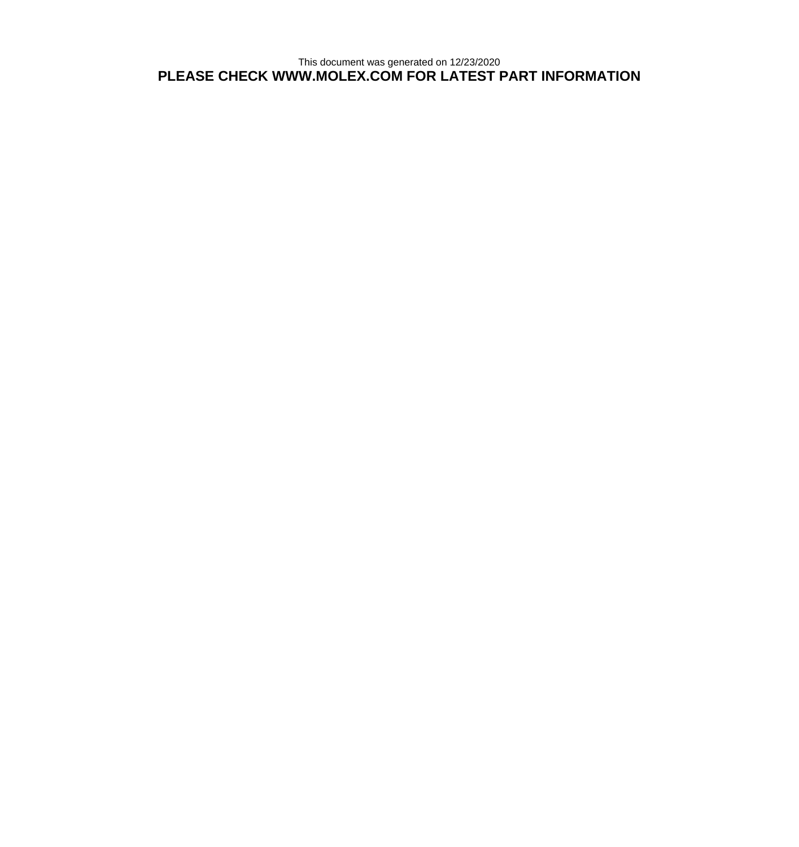This document was generated on 12/23/2020 **PLEASE CHECK WWW.MOLEX.COM FOR LATEST PART INFORMATION**